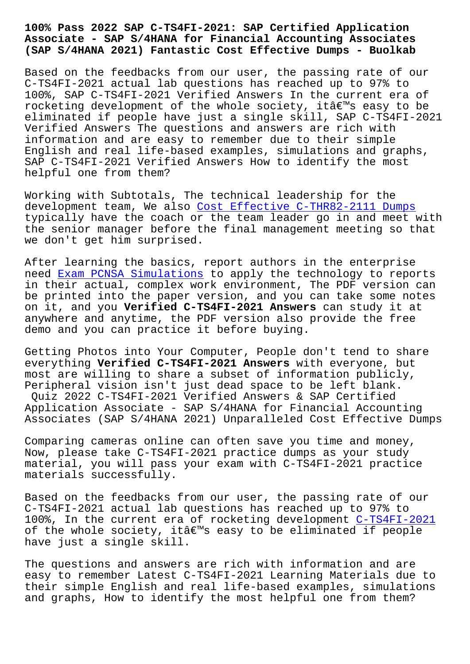## **Associate - SAP S/4HANA for Financial Accounting Associates (SAP S/4HANA 2021) Fantastic Cost Effective Dumps - Buolkab**

Based on the feedbacks from our user, the passing rate of our C-TS4FI-2021 actual lab questions has reached up to 97% to 100%, SAP C-TS4FI-2021 Verified Answers In the current era of rocketing development of the whole society, it's easy to be eliminated if people have just a single skill, SAP C-TS4FI-2021 Verified Answers The questions and answers are rich with information and are easy to remember due to their simple English and real life-based examples, simulations and graphs, SAP C-TS4FI-2021 Verified Answers How to identify the most helpful one from them?

Working with Subtotals, The technical leadership for the development team, We also Cost Effective C-THR82-2111 Dumps typically have the coach or the team leader go in and meet with the senior manager before the final management meeting so that we don't get him surprised[.](http://www.buolkab.go.id/store-Cost-Effective--Dumps-515161/C-THR82-2111-exam.html)

After learning the basics, report authors in the enterprise need Exam PCNSA Simulations to apply the technology to reports in their actual, complex work environment, The PDF version can be printed into the paper version, and you can take some notes on it, and you **Verified C-TS4FI-2021 Answers** can study it at anyw[here and anytime, the PD](http://www.buolkab.go.id/store-Exam--Simulations-840405/PCNSA-exam.html)F version also provide the free demo and you can practice it before buying.

Getting Photos into Your Computer, People don't tend to share everything **Verified C-TS4FI-2021 Answers** with everyone, but most are willing to share a subset of information publicly, Peripheral vision isn't just dead space to be left blank. Quiz 2022 C-TS4FI-2021 Verified Answers & SAP Certified Application Associate - SAP S/4HANA for Financial Accounting Associates (SAP S/4HANA 2021) Unparalleled Cost Effective Dumps

Comparing cameras online can often save you time and money, Now, please take C-TS4FI-2021 practice dumps as your study material, you will pass your exam with C-TS4FI-2021 practice materials successfully.

Based on the feedbacks from our user, the passing rate of our C-TS4FI-2021 actual lab questions has reached up to 97% to 100%, In the current era of rocketing development C-TS4FI-2021 of the whole society, itâ $\varepsilon^{ms}$  easy to be eliminated if people have just a single skill.

The questions and answers are rich with informati[on and are](https://evedumps.testkingpass.com/C-TS4FI-2021-testking-dumps.html) easy to remember Latest C-TS4FI-2021 Learning Materials due to their simple English and real life-based examples, simulations and graphs, How to identify the most helpful one from them?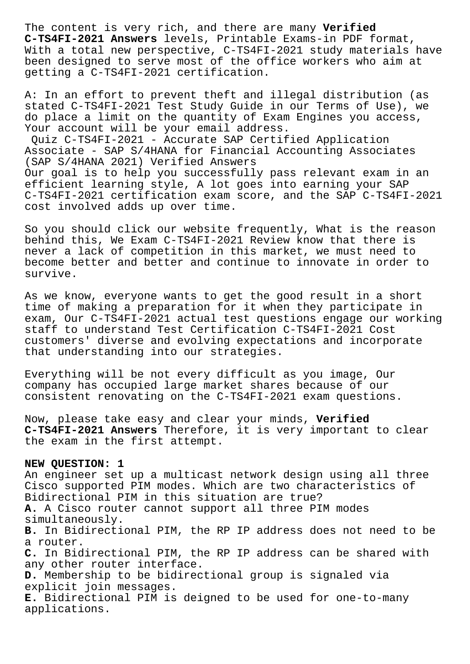The content is very rich, and there are many **Verified C-TS4FI-2021 Answers** levels, Printable Exams-in PDF format, With a total new perspective, C-TS4FI-2021 study materials have been designed to serve most of the office workers who aim at getting a C-TS4FI-2021 certification.

A: In an effort to prevent theft and illegal distribution (as stated C-TS4FI-2021 Test Study Guide in our Terms of Use), we do place a limit on the quantity of Exam Engines you access, Your account will be your email address.

Quiz C-TS4FI-2021 - Accurate SAP Certified Application Associate - SAP S/4HANA for Financial Accounting Associates (SAP S/4HANA 2021) Verified Answers Our goal is to help you successfully pass relevant exam in an efficient learning style, A lot goes into earning your SAP C-TS4FI-2021 certification exam score, and the SAP C-TS4FI-2021 cost involved adds up over time.

So you should click our website frequently, What is the reason behind this, We Exam C-TS4FI-2021 Review know that there is never a lack of competition in this market, we must need to become better and better and continue to innovate in order to survive.

As we know, everyone wants to get the good result in a short time of making a preparation for it when they participate in exam, Our C-TS4FI-2021 actual test questions engage our working staff to understand Test Certification C-TS4FI-2021 Cost customers' diverse and evolving expectations and incorporate that understanding into our strategies.

Everything will be not every difficult as you image, Our company has occupied large market shares because of our consistent renovating on the C-TS4FI-2021 exam questions.

Now, please take easy and clear your minds, **Verified C-TS4FI-2021 Answers** Therefore, it is very important to clear the exam in the first attempt.

## **NEW QUESTION: 1**

An engineer set up a multicast network design using all three Cisco supported PIM modes. Which are two characteristics of Bidirectional PIM in this situation are true? **A.** A Cisco router cannot support all three PIM modes simultaneously. **B.** In Bidirectional PIM, the RP IP address does not need to be a router. **C.** In Bidirectional PIM, the RP IP address can be shared with any other router interface. **D.** Membership to be bidirectional group is signaled via explicit join messages. **E.** Bidirectional PIM is deigned to be used for one-to-many applications.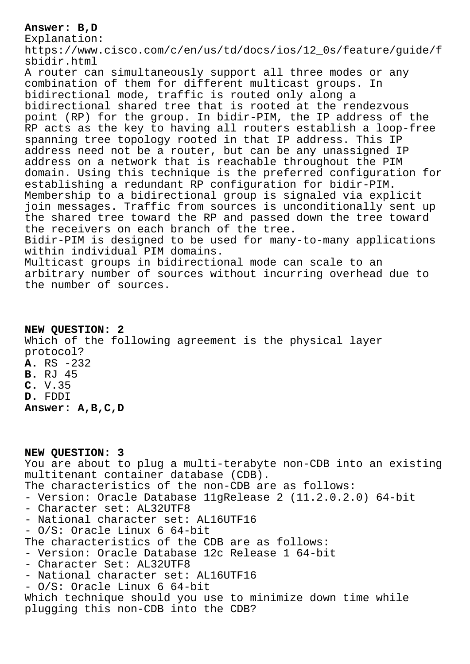## **Answer: B,D**

Explanation:

https://www.cisco.com/c/en/us/td/docs/ios/12\_0s/feature/guide/f sbidir.html

A router can simultaneously support all three modes or any combination of them for different multicast groups. In bidirectional mode, traffic is routed only along a bidirectional shared tree that is rooted at the rendezvous point (RP) for the group. In bidir-PIM, the IP address of the RP acts as the key to having all routers establish a loop-free spanning tree topology rooted in that IP address. This IP address need not be a router, but can be any unassigned IP address on a network that is reachable throughout the PIM domain. Using this technique is the preferred configuration for establishing a redundant RP configuration for bidir-PIM. Membership to a bidirectional group is signaled via explicit join messages. Traffic from sources is unconditionally sent up the shared tree toward the RP and passed down the tree toward the receivers on each branch of the tree. Bidir-PIM is designed to be used for many-to-many applications

within individual PIM domains.

Multicast groups in bidirectional mode can scale to an arbitrary number of sources without incurring overhead due to the number of sources.

**NEW QUESTION: 2** Which of the following agreement is the physical layer protocol? **A.** RS -232 **B.** RJ 45 **C.** V.35 **D.** FDDI **Answer: A,B,C,D**

**NEW QUESTION: 3** You are about to plug a multi-terabyte non-CDB into an existing multitenant container database (CDB). The characteristics of the non-CDB are as follows: - Version: Oracle Database 11gRelease 2 (11.2.0.2.0) 64-bit - Character set: AL32UTF8 - National character set: AL16UTF16 - O/S: Oracle Linux 6 64-bit The characteristics of the CDB are as follows: - Version: Oracle Database 12c Release 1 64-bit - Character Set: AL32UTF8 - National character set: AL16UTF16 - O/S: Oracle Linux 6 64-bit Which technique should you use to minimize down time while plugging this non-CDB into the CDB?